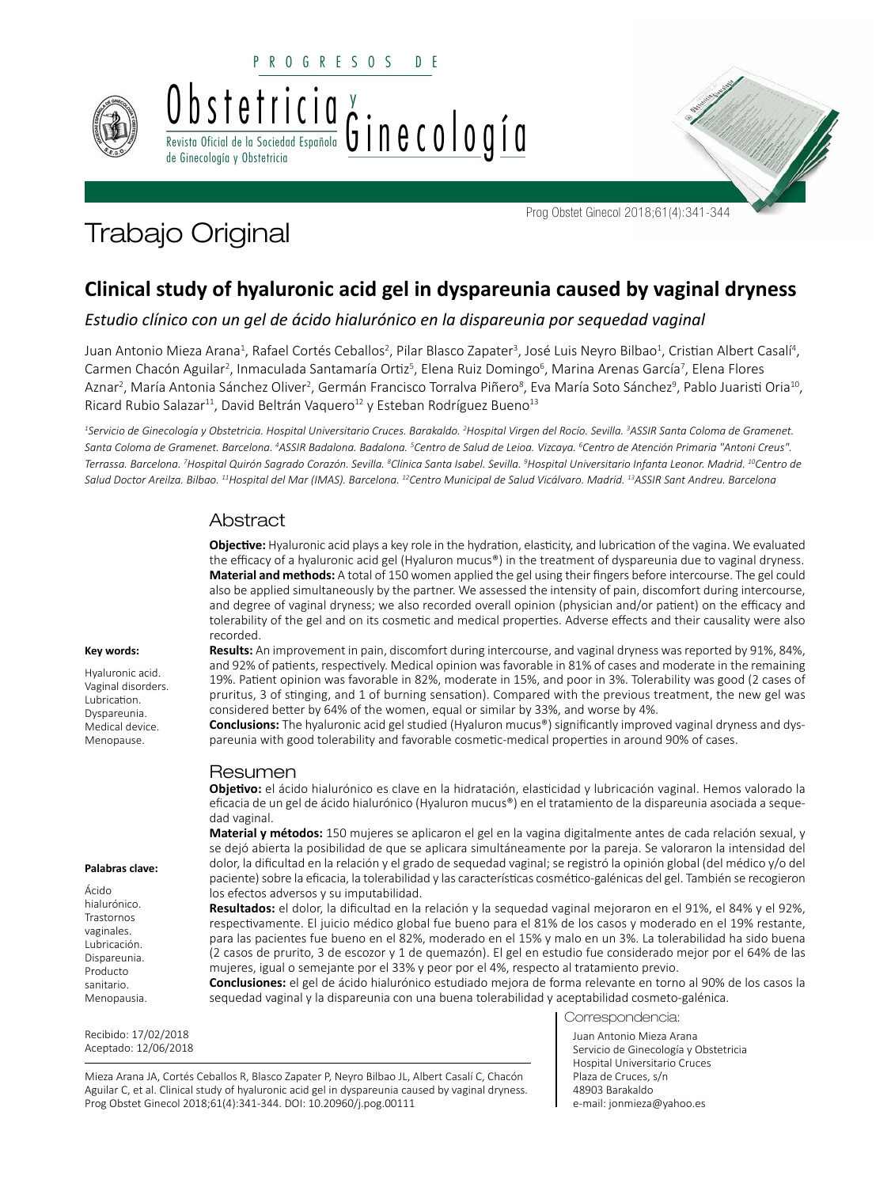

PROGRESOS DE



Prog Obstet Ginecol 2018;61(4):341-344

# Trabajo Original

# **Clinical study of hyaluronic acid gel in dyspareunia caused by vaginal dryness**

*Estudio clínico con un gel de ácido hialurónico en la dispareunia por sequedad vaginal*

Juan Antonio Mieza Arana<sup>1</sup>, Rafael Cortés Ceballos<sup>2</sup>, Pilar Blasco Zapater<sup>3</sup>, José Luis Neyro Bilbao<sup>1</sup>, Cristian Albert Casalí<sup>4</sup>, Carmen Chacón Aguilar<sup>2</sup>, Inmaculada Santamaría Ortiz<sup>5</sup>, Elena Ruiz Domingo<sup>6</sup>, Marina Arenas García<sup>7</sup>, Elena Flores Aznar<sup>2</sup>, María Antonia Sánchez Oliver<sup>2</sup>, Germán Francisco Torralva Piñero<sup>8</sup>, Eva María Soto Sánchez<sup>9</sup>, Pablo Juaristi Oria<sup>10</sup>, Ricard Rubio Salazar<sup>11</sup>, David Beltrán Vaquero<sup>12</sup> y Esteban Rodríguez Bueno<sup>13</sup>

*1 Servicio de Ginecología y Obstetricia. Hospital Universitario Cruces. Barakaldo. 2 Hospital Virgen del Rocío. Sevilla. 3 ASSIR Santa Coloma de Gramenet. Santa Coloma de Gramenet. Barcelona. 4 ASSIR Badalona. Badalona. 5 Centro de Salud de Leioa. Vizcaya. 6 Centro de Atención Primaria "Antoni Creus". Terrassa. Barcelona. 7 Hospital Quirón Sagrado Corazón. Sevilla. 8 Clínica Santa Isabel. Sevilla. 9 Hospital Universitario Infanta Leonor. Madrid. 10Centro de Salud Doctor Areilza. Bilbao. 11Hospital del Mar (IMAS). Barcelona. 12Centro Municipal de Salud Vicálvaro. Madrid. 13ASSIR Sant Andreu. Barcelona*

# Abstract

Revista Oficial de la Sociedad Española de Ginecología y Obstetricia

> **Objective:** Hyaluronic acid plays a key role in the hydration, elasticity, and lubrication of the vagina. We evaluated the efficacy of a hyaluronic acid gel (Hyaluron mucus®) in the treatment of dyspareunia due to vaginal dryness. **Material and methods:** A total of 150 women applied the gel using their fingers before intercourse. The gel could also be applied simultaneously by the partner. We assessed the intensity of pain, discomfort during intercourse, and degree of vaginal dryness; we also recorded overall opinion (physician and/or patient) on the efficacy and tolerability of the gel and on its cosmetic and medical properties. Adverse effects and their causality were also recorded.

> **Results:** An improvement in pain, discomfort during intercourse, and vaginal dryness was reported by 91%, 84%, and 92% of patients, respectively. Medical opinion was favorable in 81% of cases and moderate in the remaining 19%. Patient opinion was favorable in 82%, moderate in 15%, and poor in 3%. Tolerability was good (2 cases of pruritus, 3 of stinging, and 1 of burning sensation). Compared with the previous treatment, the new gel was considered better by 64% of the women, equal or similar by 33%, and worse by 4%.

> **Conclusions:** The hyaluronic acid gel studied (Hyaluron mucus®) significantly improved vaginal dryness and dyspareunia with good tolerability and favorable cosmetic-medical properties in around 90% of cases.

# Resumen

**Objetivo:** el ácido hialurónico es clave en la hidratación, elasticidad y lubricación vaginal. Hemos valorado la eficacia de un gel de ácido hialurónico (Hyaluron mucus®) en el tratamiento de la dispareunia asociada a sequedad vaginal.

**Material y métodos:** 150 mujeres se aplicaron el gel en la vagina digitalmente antes de cada relación sexual, y se dejó abierta la posibilidad de que se aplicara simultáneamente por la pareja. Se valoraron la intensidad del dolor, la dificultad en la relación y el grado de sequedad vaginal; se registró la opinión global (del médico y/o del paciente) sobre la eficacia, la tolerabilidad y las características cosmético-galénicas del gel. También se recogieron los efectos adversos y su imputabilidad.

**Resultados:** el dolor, la dificultad en la relación y la sequedad vaginal mejoraron en el 91%, el 84% y el 92%, respectivamente. El juicio médico global fue bueno para el 81% de los casos y moderado en el 19% restante, para las pacientes fue bueno en el 82%, moderado en el 15% y malo en un 3%. La tolerabilidad ha sido buena (2 casos de prurito, 3 de escozor y 1 de quemazón). El gel en estudio fue considerado mejor por el 64% de las mujeres, igual o semejante por el 33% y peor por el 4%, respecto al tratamiento previo.

**Conclusiones:** el gel de ácido hialurónico estudiado mejora de forma relevante en torno al 90% de los casos la sequedad vaginal y la dispareunia con una buena tolerabilidad y aceptabilidad cosmeto-galénica.

Correspondencia:

Juan Antonio Mieza Arana Servicio de Ginecología y Obstetricia Hospital Universitario Cruces Plaza de Cruces, s/n 48903 Barakaldo e-mail: jonmieza@yahoo.es

#### **Key words:**

Hyaluronic acid. Vaginal disorders. Lubrication. Dyspareunia. Medical device. Menopause.

#### **Palabras clave:**

Ácido hialurónico. Trastornos vaginales. Lubricación. Dispareunia. Producto sanitario. Menopausia.

Recibido: 17/02/2018 Aceptado: 12/06/2018

Mieza Arana JA, Cortés Ceballos R, Blasco Zapater P, Neyro Bilbao JL, Albert Casalí C, Chacón Aguilar C, et al. Clinical study of hyaluronic acid gel in dyspareunia caused by vaginal dryness. Prog Obstet Ginecol 2018;61(4):341-344. DOI: 10.20960/j.pog.00111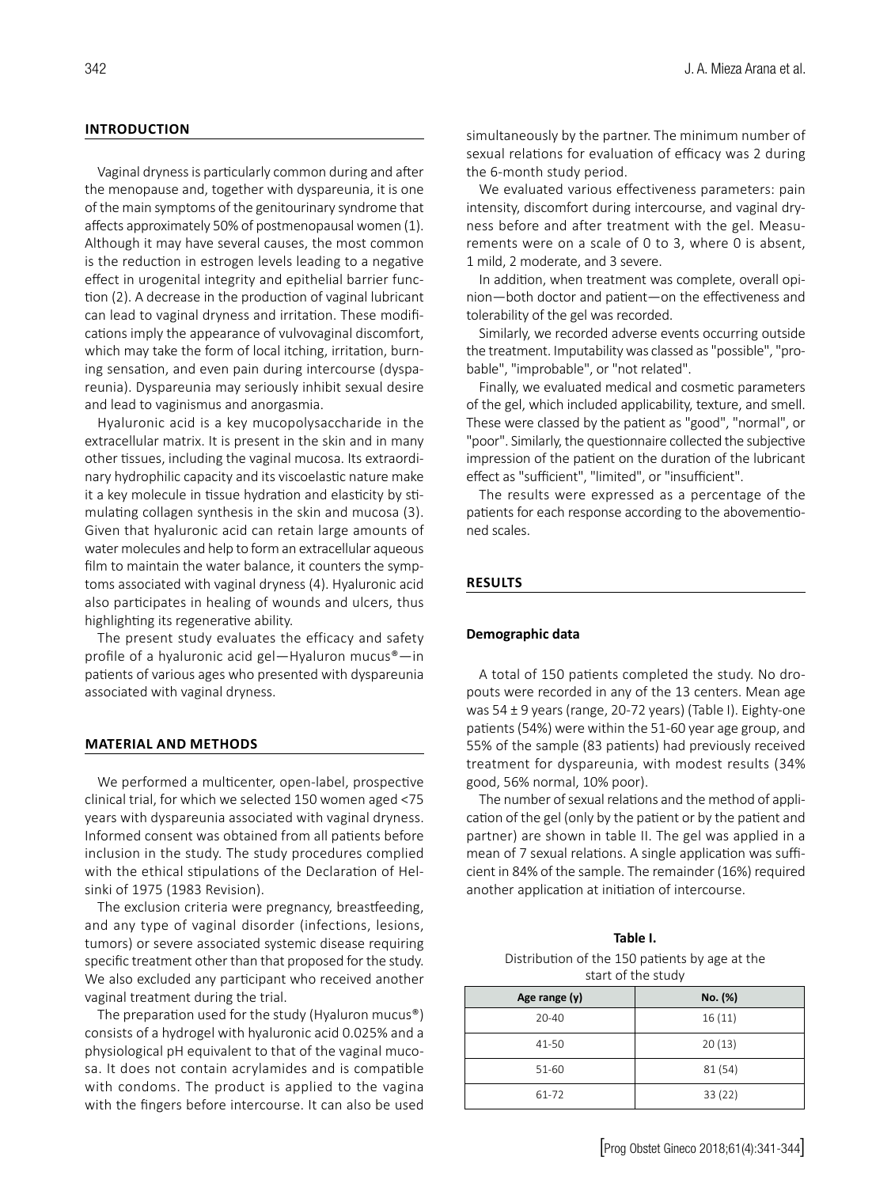## **INTRODUCTION**

Vaginal dryness is particularly common during and after the menopause and, together with dyspareunia, it is one of the main symptoms of the genitourinary syndrome that affects approximately 50% of postmenopausal women (1). Although it may have several causes, the most common is the reduction in estrogen levels leading to a negative effect in urogenital integrity and epithelial barrier function (2). A decrease in the production of vaginal lubricant can lead to vaginal dryness and irritation. These modifications imply the appearance of vulvovaginal discomfort, which may take the form of local itching, irritation, burning sensation, and even pain during intercourse (dyspareunia). Dyspareunia may seriously inhibit sexual desire and lead to vaginismus and anorgasmia.

Hyaluronic acid is a key mucopolysaccharide in the extracellular matrix. It is present in the skin and in many other tissues, including the vaginal mucosa. Its extraordinary hydrophilic capacity and its viscoelastic nature make it a key molecule in tissue hydration and elasticity by stimulating collagen synthesis in the skin and mucosa (3). Given that hyaluronic acid can retain large amounts of water molecules and help to form an extracellular aqueous film to maintain the water balance, it counters the symptoms associated with vaginal dryness (4). Hyaluronic acid also participates in healing of wounds and ulcers, thus highlighting its regenerative ability.

The present study evaluates the efficacy and safety profile of a hyaluronic acid gel—Hyaluron mucus®—in patients of various ages who presented with dyspareunia associated with vaginal dryness.

#### **MATERIAL AND METHODS**

We performed a multicenter, open-label, prospective clinical trial, for which we selected 150 women aged <75 years with dyspareunia associated with vaginal dryness. Informed consent was obtained from all patients before inclusion in the study. The study procedures complied with the ethical stipulations of the Declaration of Helsinki of 1975 (1983 Revision).

The exclusion criteria were pregnancy, breastfeeding, and any type of vaginal disorder (infections, lesions, tumors) or severe associated systemic disease requiring specific treatment other than that proposed for the study. We also excluded any participant who received another vaginal treatment during the trial.

The preparation used for the study (Hyaluron mucus®) consists of a hydrogel with hyaluronic acid 0.025% and a physiological pH equivalent to that of the vaginal mucosa. It does not contain acrylamides and is compatible with condoms. The product is applied to the vagina with the fingers before intercourse. It can also be used simultaneously by the partner. The minimum number of sexual relations for evaluation of efficacy was 2 during the 6-month study period.

We evaluated various effectiveness parameters: pain intensity, discomfort during intercourse, and vaginal dryness before and after treatment with the gel. Measurements were on a scale of 0 to 3, where 0 is absent, 1 mild, 2 moderate, and 3 severe.

In addition, when treatment was complete, overall opinion—both doctor and patient—on the effectiveness and tolerability of the gel was recorded.

Similarly, we recorded adverse events occurring outside the treatment. Imputability was classed as "possible", "probable", "improbable", or "not related".

Finally, we evaluated medical and cosmetic parameters of the gel, which included applicability, texture, and smell. These were classed by the patient as "good", "normal", or "poor". Similarly, the questionnaire collected the subjective impression of the patient on the duration of the lubricant effect as "sufficient", "limited", or "insufficient".

The results were expressed as a percentage of the patients for each response according to the abovementioned scales.

#### **RESULTS**

#### **Demographic data**

A total of 150 patients completed the study. No dropouts were recorded in any of the 13 centers. Mean age was 54 ± 9 years (range, 20-72 years) (Table I). Eighty-one patients (54%) were within the 51-60 year age group, and 55% of the sample (83 patients) had previously received treatment for dyspareunia, with modest results (34% good, 56% normal, 10% poor).

The number of sexual relations and the method of application of the gel (only by the patient or by the patient and partner) are shown in table II. The gel was applied in a mean of 7 sexual relations. A single application was sufficient in 84% of the sample. The remainder (16%) required another application at initiation of intercourse.

| Table I.                                       |
|------------------------------------------------|
| Distribution of the 150 patients by age at the |
| start of the study                             |

| Age range (y) | No. (%) |  |
|---------------|---------|--|
| $20 - 40$     | 16(11)  |  |
| 41-50         | 20(13)  |  |
| 51-60         | 81(54)  |  |
| 61-72         | 33(22)  |  |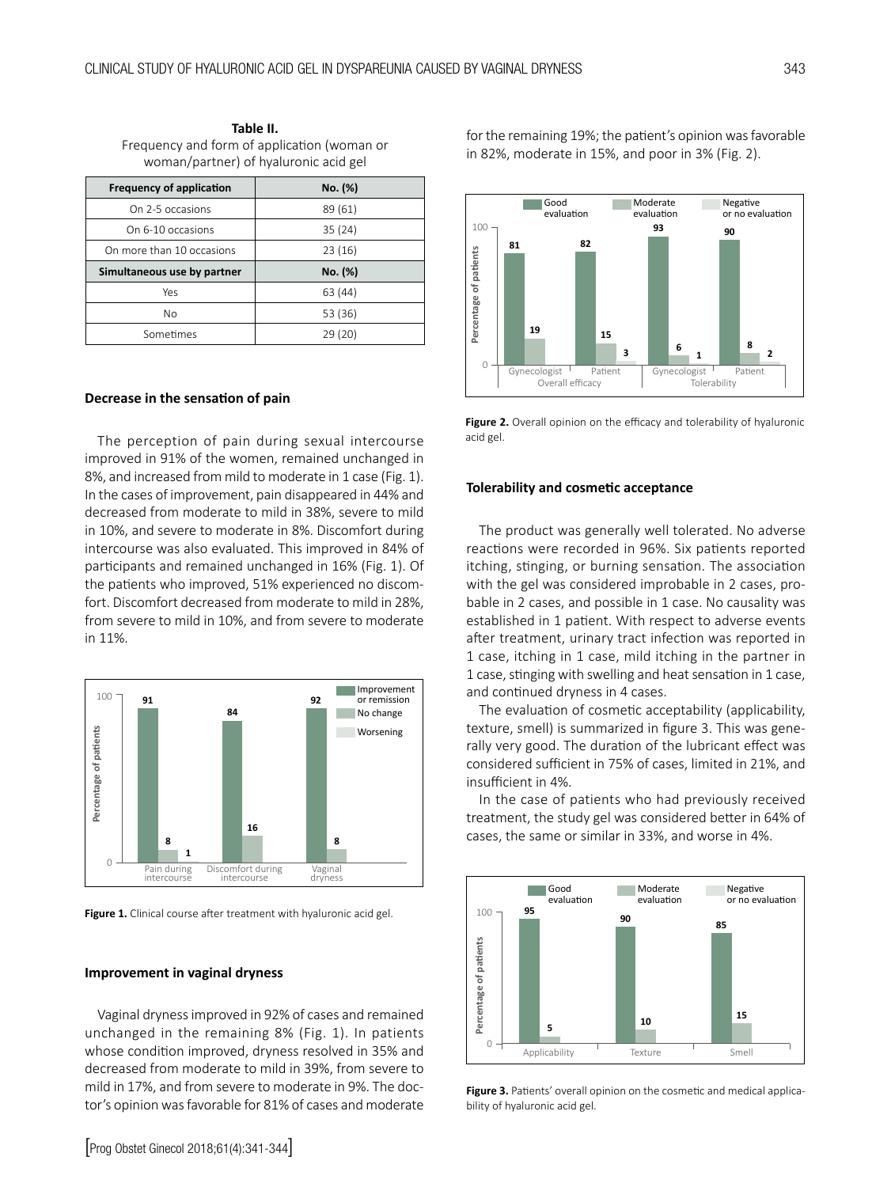**Table II.**  Frequency and form of application (woman or woman/partner) of hyaluronic acid gel

| <b>Frequency of application</b> | No. (%) |
|---------------------------------|---------|
| On 2-5 occasions                | 89 (61) |
| On 6-10 occasions               | 35(24)  |
| On more than 10 occasions       | 23(16)  |
| Simultaneous use by partner     | No. (%) |
| Yes                             | 63 (44) |
| No                              | 53 (36) |
| Sometimes                       | 29 (20) |

#### **Decrease in the sensation of pain**

The perception of pain during sexual intercourse improved in 91% of the women, remained unchanged in 8%, and increased from mild to moderate in 1 case (Fig. 1). In the cases of improvement, pain disappeared in 44% and decreased from moderate to mild in 38%, severe to mild in 10%, and severe to moderate in 8%. Discomfort during intercourse was also evaluated. This improved in 84% of participants and remained unchanged in 16% (Fig. 1). Of the patients who improved, 51% experienced no discomfort. Discomfort decreased from moderate to mild in 28%, from severe to mild in 10%, and from severe to moderate in 11%.



Figure 1. Clinical course after treatment with hyaluronic acid gel.

#### **Improvement in vaginal dryness**

Vaginal dryness improved in 92% of cases and remained unchanged in the remaining 8% (Fig. 1). In patients whose condition improved, dryness resolved in 35% and decreased from moderate to mild in 39%, from severe to mild in 17%, and from severe to moderate in 9%. The doctor's opinion was favorable for 81% of cases and moderate for the remaining 19%; the patient's opinion was favorable in 82%, moderate in 15%, and poor in 3% (Fig. 2).



Figure 2. Overall opinion on the efficacy and tolerability of hyaluronic acid gel.

#### **Tolerability and cosmetic acceptance**

The product was generally well tolerated. No adverse reactions were recorded in 96%. Six patients reported itching, stinging, or burning sensation. The association with the gel was considered improbable in 2 cases, probable in 2 cases, and possible in 1 case. No causality was established in 1 patient. With respect to adverse events after treatment, urinary tract infection was reported in 1 case, itching in 1 case, mild itching in the partner in 1 case, stinging with swelling and heat sensation in 1 case, and continued dryness in 4 cases.

The evaluation of cosmetic acceptability (applicability, texture, smell) is summarized in figure 3. This was generally very good. The duration of the lubricant effect was considered sufficient in 75% of cases, limited in 21%, and insufficient in 4%.

In the case of patients who had previously received treatment, the study gel was considered better in 64% of cases, the same or similar in 33%, and worse in 4%.



Figure 3. Patients' overall opinion on the cosmetic and medical applicability of hyaluronic acid gel.